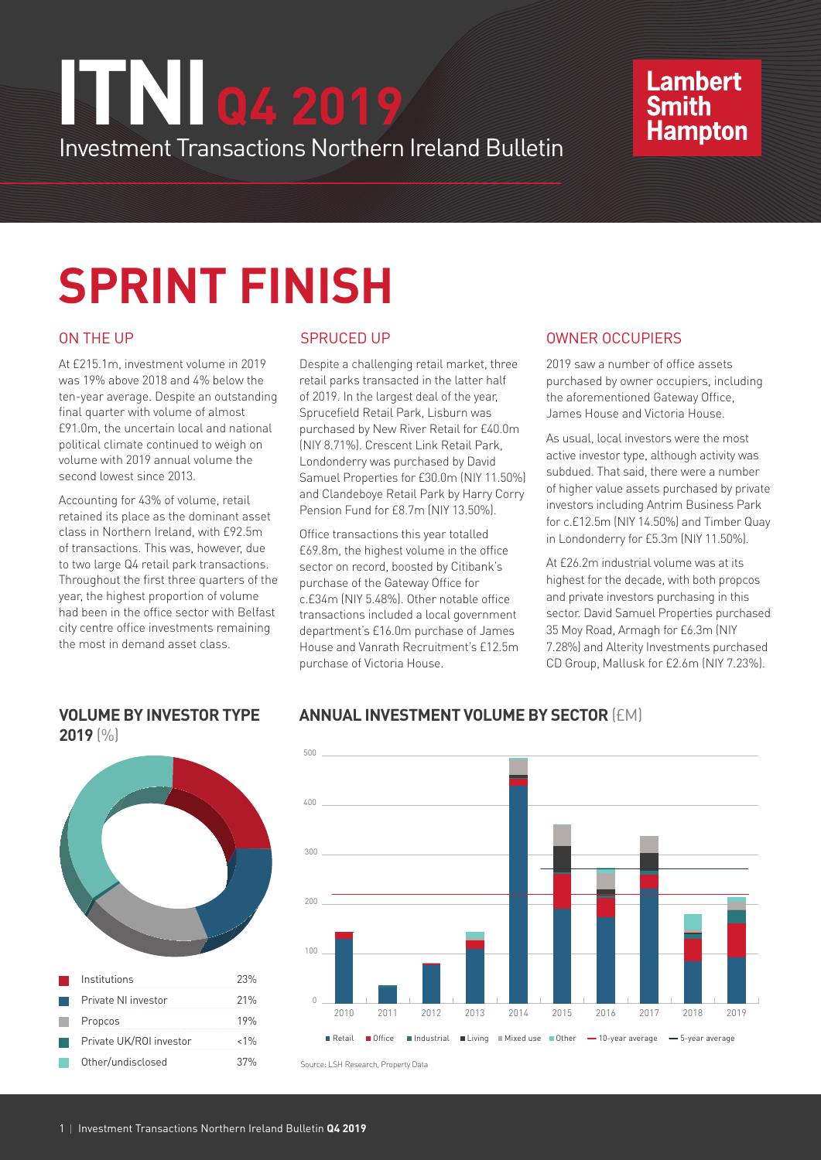# Investment Transactions Northern Ireland Bulletin **ITNI Q4 2019**

## **Lambert Smith Hampton**

# **SPRINT FINISH**

At £215.1m, investment volume in 2019 was 19% above 2018 and 4% below the ten-year average. Despite an outstanding final quarter with volume of almost £91.0m, the uncertain local and national political climate continued to weigh on volume with 2019 annual volume the second lowest since 2013.

Accounting for 43% of volume, retail retained its place as the dominant asset class in Northern Ireland, with £92.5m of transactions. This was, however, due to two large Q4 retail park transactions. Throughout the first three quarters of the year, the highest proportion of volume had been in the office sector with Belfast city centre office investments remaining the most in demand asset class.

**VOLUME BY INVESTOR TYPE** 

Despite a challenging retail market, three retail parks transacted in the latter half of 2019. In the largest deal of the year, Sprucefield Retail Park, Lisburn was purchased by New River Retail for £40.0m (NIY 8.71%). Crescent Link Retail Park, Londonderry was purchased by David Samuel Properties for £30.0m (NIY 11.50%) and Clandeboye Retail Park by Harry Corry Pension Fund for £8.7m (NIY 13.50%).

Office transactions this year totalled £69.8m, the highest volume in the office sector on record, boosted by Citibank's purchase of the Gateway Office for c.£34m (NIY 5.48%). Other notable office transactions included a local government department's £16.0m purchase of James House and Vanrath Recruitment's £12.5m purchase of Victoria House.

#### ON THE UP GENERAL SPRUCED UP CONTROL OWNER OCCUPIERS

2019 saw a number of office assets purchased by owner occupiers, including the aforementioned Gateway Office, James House and Victoria House.

As usual, local investors were the most active investor type, although activity was subdued. That said, there were a number of higher value assets purchased by private investors including Antrim Business Park for c.£12.5m (NIY 14.50%) and Timber Quay in Londonderry for £5.3m (NIY 11.50%).

At £26.2m industrial volume was at its highest for the decade, with both propcos and private investors purchasing in this sector. David Samuel Properties purchased 35 Moy Road, Armagh for £6.3m (NIY 7.28%) and Alterity Investments purchased CD Group, Mallusk for £2.6m (NIY 7.23%).



### **ANNUAL INVESTMENT VOLUME BY SECTOR** (£M)